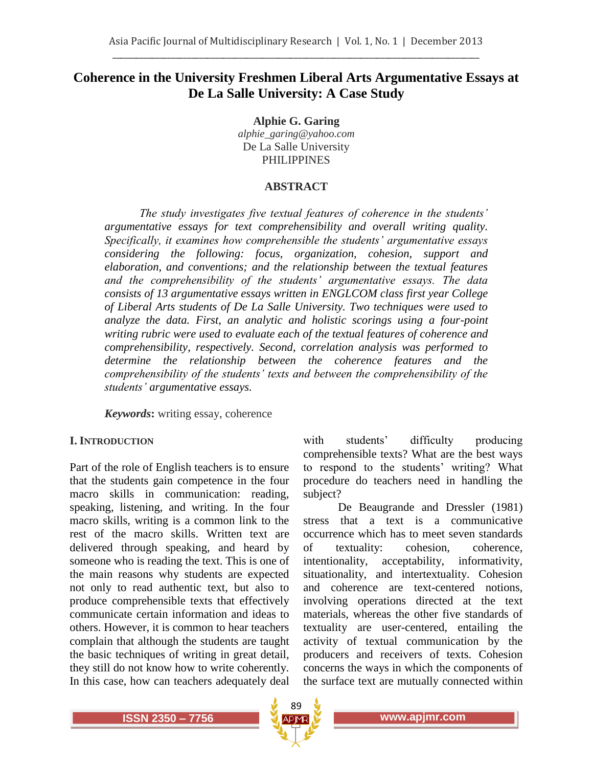# **Coherence in the University Freshmen Liberal Arts Argumentative Essays at De La Salle University: A Case Study**

**Alphie G. Garing** *alphie\_garing@yahoo.com* De La Salle University PHILIPPINES

### **ABSTRACT**

*The study investigates five textual features of coherence in the students' argumentative essays for text comprehensibility and overall writing quality. Specifically, it examines how comprehensible the students' argumentative essays considering the following: focus, organization, cohesion, support and elaboration, and conventions; and the relationship between the textual features and the comprehensibility of the students' argumentative essays. The data consists of 13 argumentative essays written in ENGLCOM class first year College of Liberal Arts students of De La Salle University. Two techniques were used to analyze the data. First, an analytic and holistic scorings using a four-point writing rubric were used to evaluate each of the textual features of coherence and comprehensibility, respectively. Second, correlation analysis was performed to determine the relationship between the coherence features and the comprehensibility of the students' texts and between the comprehensibility of the students' argumentative essays.*

*Keywords***:** writing essay, coherence

### **I. INTRODUCTION**

Part of the role of English teachers is to ensure that the students gain competence in the four macro skills in communication: reading, speaking, listening, and writing. In the four macro skills, writing is a common link to the rest of the macro skills. Written text are delivered through speaking, and heard by someone who is reading the text. This is one of the main reasons why students are expected not only to read authentic text, but also to produce comprehensible texts that effectively communicate certain information and ideas to others. However, it is common to hear teachers complain that although the students are taught the basic techniques of writing in great detail, they still do not know how to write coherently. In this case, how can teachers adequately deal

with students' difficulty producing comprehensible texts? What are the best ways to respond to the students' writing? What procedure do teachers need in handling the subject?

De Beaugrande and Dressler (1981) stress that a text is a communicative occurrence which has to meet seven standards of textuality: cohesion, coherence, intentionality, acceptability, informativity, situationality, and intertextuality. Cohesion and coherence are text-centered notions, involving operations directed at the text materials, whereas the other five standards of textuality are user-centered, entailing the activity of textual communication by the producers and receivers of texts. Cohesion concerns the ways in which the components of the surface text are mutually connected within

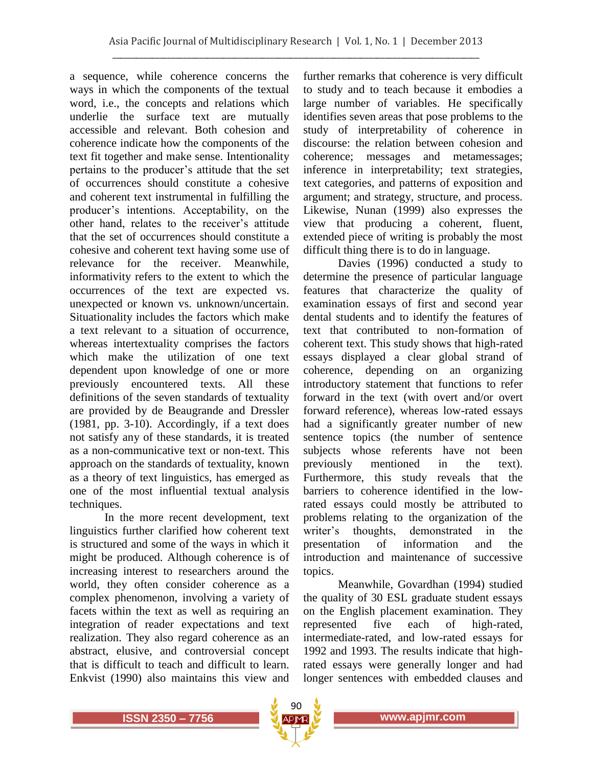a sequence, while coherence concerns the ways in which the components of the textual word, i.e., the concepts and relations which underlie the surface text are mutually accessible and relevant. Both cohesion and coherence indicate how the components of the text fit together and make sense. Intentionality pertains to the producer's attitude that the set of occurrences should constitute a cohesive and coherent text instrumental in fulfilling the producer's intentions. Acceptability, on the other hand, relates to the receiver's attitude that the set of occurrences should constitute a cohesive and coherent text having some use of relevance for the receiver. Meanwhile, informativity refers to the extent to which the occurrences of the text are expected vs. unexpected or known vs. unknown/uncertain. Situationality includes the factors which make a text relevant to a situation of occurrence, whereas intertextuality comprises the factors which make the utilization of one text dependent upon knowledge of one or more previously encountered texts. All these definitions of the seven standards of textuality are provided by de Beaugrande and Dressler (1981, pp. 3-10). Accordingly, if a text does not satisfy any of these standards, it is treated as a non-communicative text or non-text. This approach on the standards of textuality, known as a theory of text linguistics, has emerged as one of the most influential textual analysis techniques.

In the more recent development, text linguistics further clarified how coherent text is structured and some of the ways in which it might be produced. Although coherence is of increasing interest to researchers around the world, they often consider coherence as a complex phenomenon, involving a variety of facets within the text as well as requiring an integration of reader expectations and text realization. They also regard coherence as an abstract, elusive, and controversial concept that is difficult to teach and difficult to learn. Enkvist (1990) also maintains this view and

further remarks that coherence is very difficult to study and to teach because it embodies a large number of variables. He specifically identifies seven areas that pose problems to the study of interpretability of coherence in discourse: the relation between cohesion and coherence; messages and metamessages; inference in interpretability; text strategies, text categories, and patterns of exposition and argument; and strategy, structure, and process. Likewise, Nunan (1999) also expresses the view that producing a coherent, fluent, extended piece of writing is probably the most difficult thing there is to do in language.

Davies (1996) conducted a study to determine the presence of particular language features that characterize the quality of examination essays of first and second year dental students and to identify the features of text that contributed to non-formation of coherent text. This study shows that high-rated essays displayed a clear global strand of coherence, depending on an organizing introductory statement that functions to refer forward in the text (with overt and/or overt forward reference), whereas low-rated essays had a significantly greater number of new sentence topics (the number of sentence subjects whose referents have not been previously mentioned in the text). Furthermore, this study reveals that the barriers to coherence identified in the lowrated essays could mostly be attributed to problems relating to the organization of the writer's thoughts, demonstrated in the presentation of information and the introduction and maintenance of successive topics.

Meanwhile, Govardhan (1994) studied the quality of 30 ESL graduate student essays on the English placement examination. They represented five each of high-rated, intermediate-rated, and low-rated essays for 1992 and 1993. The results indicate that highrated essays were generally longer and had longer sentences with embedded clauses and

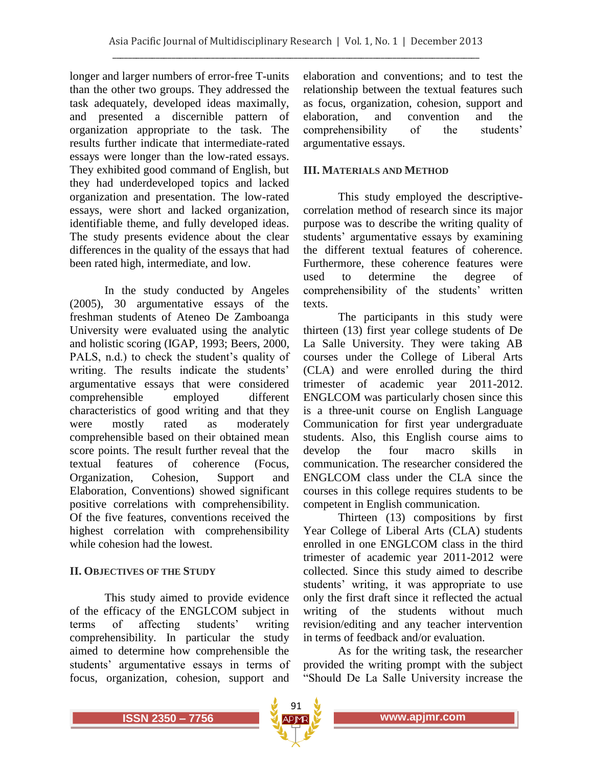longer and larger numbers of error-free T-units than the other two groups. They addressed the task adequately, developed ideas maximally, and presented a discernible pattern of organization appropriate to the task. The results further indicate that intermediate-rated essays were longer than the low-rated essays. They exhibited good command of English, but they had underdeveloped topics and lacked organization and presentation. The low-rated essays, were short and lacked organization, identifiable theme, and fully developed ideas. The study presents evidence about the clear differences in the quality of the essays that had been rated high, intermediate, and low.

In the study conducted by Angeles (2005), 30 argumentative essays of the freshman students of Ateneo De Zamboanga University were evaluated using the analytic and holistic scoring (IGAP, 1993; Beers, 2000, PALS, n.d.) to check the student's quality of writing. The results indicate the students' argumentative essays that were considered comprehensible employed different characteristics of good writing and that they were mostly rated as moderately comprehensible based on their obtained mean score points. The result further reveal that the textual features of coherence (Focus, Organization, Cohesion, Support and Elaboration, Conventions) showed significant positive correlations with comprehensibility. Of the five features, conventions received the highest correlation with comprehensibility while cohesion had the lowest.

### **II. OBJECTIVES OF THE STUDY**

This study aimed to provide evidence of the efficacy of the ENGLCOM subject in terms of affecting students' writing comprehensibility. In particular the study aimed to determine how comprehensible the students' argumentative essays in terms of focus, organization, cohesion, support and

elaboration and conventions; and to test the relationship between the textual features such as focus, organization, cohesion, support and elaboration, and convention and the comprehensibility of the students' argumentative essays.

### **III. MATERIALS AND METHOD**

This study employed the descriptivecorrelation method of research since its major purpose was to describe the writing quality of students' argumentative essays by examining the different textual features of coherence. Furthermore, these coherence features were used to determine the degree of comprehensibility of the students' written texts.

The participants in this study were thirteen (13) first year college students of De La Salle University. They were taking AB courses under the College of Liberal Arts (CLA) and were enrolled during the third trimester of academic year 2011-2012. ENGLCOM was particularly chosen since this is a three-unit course on English Language Communication for first year undergraduate students. Also, this English course aims to develop the four macro skills in communication. The researcher considered the ENGLCOM class under the CLA since the courses in this college requires students to be competent in English communication.

Thirteen (13) compositions by first Year College of Liberal Arts (CLA) students enrolled in one ENGLCOM class in the third trimester of academic year 2011-2012 were collected. Since this study aimed to describe students' writing, it was appropriate to use only the first draft since it reflected the actual writing of the students without much revision/editing and any teacher intervention in terms of feedback and/or evaluation.

As for the writing task, the researcher provided the writing prompt with the subject "Should De La Salle University increase the

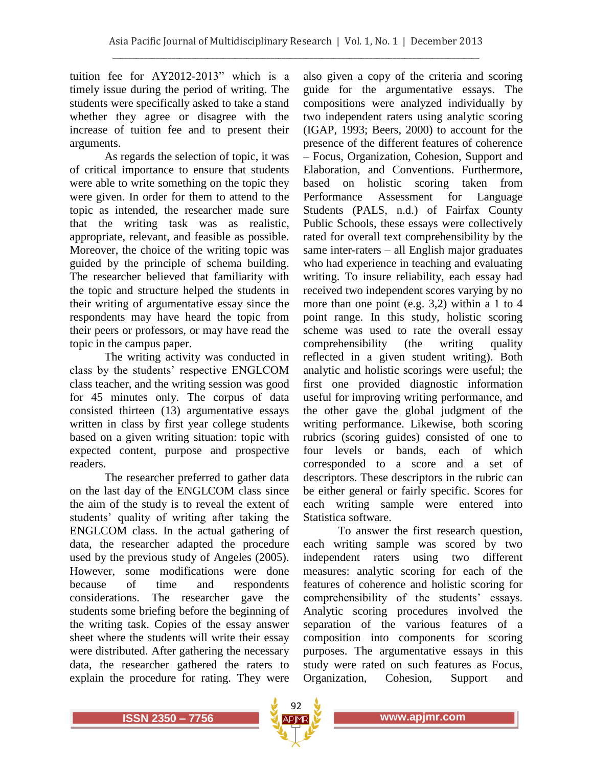tuition fee for AY2012-2013" which is a timely issue during the period of writing. The students were specifically asked to take a stand whether they agree or disagree with the increase of tuition fee and to present their arguments.

As regards the selection of topic, it was of critical importance to ensure that students were able to write something on the topic they were given. In order for them to attend to the topic as intended, the researcher made sure that the writing task was as realistic, appropriate, relevant, and feasible as possible. Moreover, the choice of the writing topic was guided by the principle of schema building. The researcher believed that familiarity with the topic and structure helped the students in their writing of argumentative essay since the respondents may have heard the topic from their peers or professors, or may have read the topic in the campus paper.

The writing activity was conducted in class by the students' respective ENGLCOM class teacher, and the writing session was good for 45 minutes only. The corpus of data consisted thirteen (13) argumentative essays written in class by first year college students based on a given writing situation: topic with expected content, purpose and prospective readers.

The researcher preferred to gather data on the last day of the ENGLCOM class since the aim of the study is to reveal the extent of students' quality of writing after taking the ENGLCOM class. In the actual gathering of data, the researcher adapted the procedure used by the previous study of Angeles (2005). However, some modifications were done because of time and respondents considerations. The researcher gave the students some briefing before the beginning of the writing task. Copies of the essay answer sheet where the students will write their essay were distributed. After gathering the necessary data, the researcher gathered the raters to explain the procedure for rating. They were

also given a copy of the criteria and scoring guide for the argumentative essays. The compositions were analyzed individually by two independent raters using analytic scoring (IGAP, 1993; Beers, 2000) to account for the presence of the different features of coherence – Focus, Organization, Cohesion, Support and Elaboration, and Conventions. Furthermore, based on holistic scoring taken from Performance Assessment for Language Students (PALS, n.d.) of Fairfax County Public Schools, these essays were collectively rated for overall text comprehensibility by the same inter-raters – all English major graduates who had experience in teaching and evaluating writing. To insure reliability, each essay had received two independent scores varying by no more than one point (e.g. 3,2) within a 1 to 4 point range. In this study, holistic scoring scheme was used to rate the overall essay comprehensibility (the writing quality reflected in a given student writing). Both analytic and holistic scorings were useful; the first one provided diagnostic information useful for improving writing performance, and the other gave the global judgment of the writing performance. Likewise, both scoring rubrics (scoring guides) consisted of one to four levels or bands, each of which corresponded to a score and a set of descriptors. These descriptors in the rubric can be either general or fairly specific. Scores for each writing sample were entered into Statistica software.

To answer the first research question, each writing sample was scored by two independent raters using two different measures: analytic scoring for each of the features of coherence and holistic scoring for comprehensibility of the students' essays. Analytic scoring procedures involved the separation of the various features of a composition into components for scoring purposes. The argumentative essays in this study were rated on such features as Focus, Organization, Cohesion, Support and

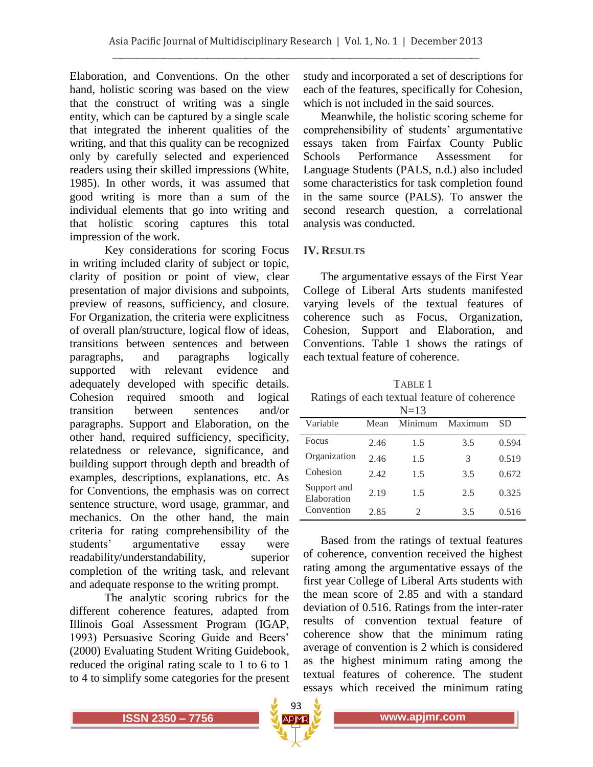Elaboration, and Conventions. On the other hand, holistic scoring was based on the view that the construct of writing was a single entity, which can be captured by a single scale that integrated the inherent qualities of the writing, and that this quality can be recognized only by carefully selected and experienced readers using their skilled impressions (White, 1985). In other words, it was assumed that good writing is more than a sum of the individual elements that go into writing and that holistic scoring captures this total impression of the work.

Key considerations for scoring Focus in writing included clarity of subject or topic, clarity of position or point of view, clear presentation of major divisions and subpoints, preview of reasons, sufficiency, and closure. For Organization, the criteria were explicitness of overall plan/structure, logical flow of ideas, transitions between sentences and between paragraphs, and paragraphs logically supported with relevant evidence and adequately developed with specific details. Cohesion required smooth and logical transition between sentences and/or paragraphs. Support and Elaboration, on the other hand, required sufficiency, specificity, relatedness or relevance, significance, and building support through depth and breadth of examples, descriptions, explanations, etc. As for Conventions, the emphasis was on correct sentence structure, word usage, grammar, and mechanics. On the other hand, the main criteria for rating comprehensibility of the students' argumentative essay were readability/understandability, superior completion of the writing task, and relevant and adequate response to the writing prompt.

The analytic scoring rubrics for the different coherence features, adapted from Illinois Goal Assessment Program (IGAP, 1993) Persuasive Scoring Guide and Beers' (2000) Evaluating Student Writing Guidebook, reduced the original rating scale to 1 to 6 to 1 to 4 to simplify some categories for the present

study and incorporated a set of descriptions for each of the features, specifically for Cohesion, which is not included in the said sources.

Meanwhile, the holistic scoring scheme for comprehensibility of students' argumentative essays taken from Fairfax County Public Schools Performance Assessment for Language Students (PALS, n.d.) also included some characteristics for task completion found in the same source (PALS). To answer the second research question, a correlational analysis was conducted.

## **IV. RESULTS**

The argumentative essays of the First Year College of Liberal Arts students manifested varying levels of the textual features of coherence such as Focus, Organization, Cohesion, Support and Elaboration, and Conventions. Table 1 shows the ratings of each textual feature of coherence.

TABLE 1 Ratings of each textual feature of coherence

|                            |      | $N=13$                |         |       |
|----------------------------|------|-----------------------|---------|-------|
| Variable                   | Mean | Minimum               | Maximum | SD    |
| Focus                      | 2.46 | 1.5                   | 3.5     | 0.594 |
| Organization               | 2.46 | 1.5                   | 3       | 0.519 |
| Cohesion                   | 2.42 | 1.5                   | 3.5     | 0.672 |
| Support and<br>Elaboration | 2.19 | 1.5                   | 2.5     | 0.325 |
| Convention                 | 2.85 | $\mathcal{D}_{\cdot}$ | 3.5     | 0.516 |

Based from the ratings of textual features of coherence, convention received the highest rating among the argumentative essays of the first year College of Liberal Arts students with the mean score of 2.85 and with a standard deviation of 0.516. Ratings from the inter-rater results of convention textual feature of coherence show that the minimum rating average of convention is 2 which is considered as the highest minimum rating among the textual features of coherence. The student essays which received the minimum rating

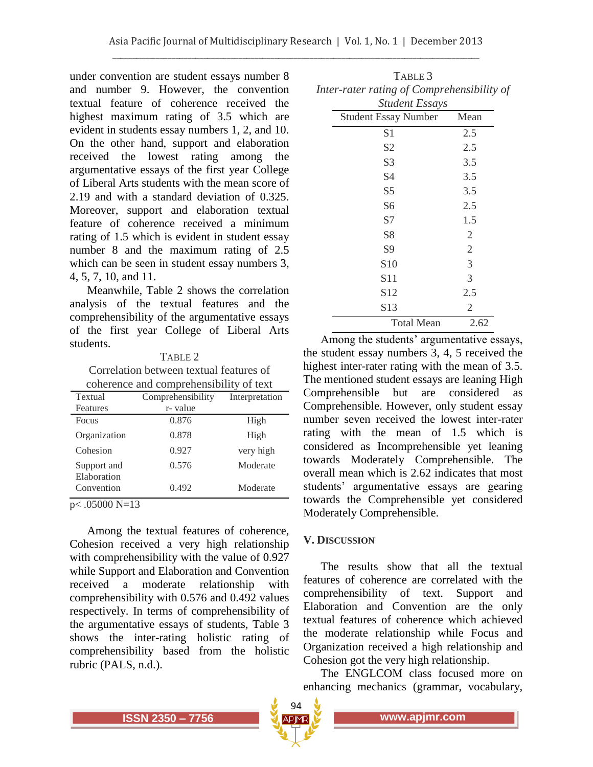under convention are student essays number 8 and number 9. However, the convention textual feature of coherence received the highest maximum rating of 3.5 which are evident in students essay numbers 1, 2, and 10. On the other hand, support and elaboration received the lowest rating among the argumentative essays of the first year College of Liberal Arts students with the mean score of 2.19 and with a standard deviation of 0.325. Moreover, support and elaboration textual feature of coherence received a minimum rating of 1.5 which is evident in student essay number 8 and the maximum rating of 2.5 which can be seen in student essay numbers 3, 4, 5, 7, 10, and 11.

Meanwhile, Table 2 shows the correlation analysis of the textual features and the comprehensibility of the argumentative essays of the first year College of Liberal Arts students.

#### TABLE 2

Correlation between textual features of coherence and comprehensibility of text

| Textual                    | Comprehensibility | Interpretation |  |  |
|----------------------------|-------------------|----------------|--|--|
| Features                   | r- value          |                |  |  |
| Focus                      | 0.876             | High           |  |  |
| Organization               | 0.878             | High           |  |  |
| Cohesion                   | 0.927             | very high      |  |  |
| Support and<br>Elaboration | 0.576             | Moderate       |  |  |
| Convention                 | 0.492             | Moderate       |  |  |
| $05000 N - 12$<br>$\sim$   |                   |                |  |  |

 $p<$  0.05000 N=13

Among the textual features of coherence, Cohesion received a very high relationship with comprehensibility with the value of 0.927 while Support and Elaboration and Convention received a moderate relationship with comprehensibility with 0.576 and 0.492 values respectively. In terms of comprehensibility of the argumentative essays of students, Table 3 shows the inter-rating holistic rating of comprehensibility based from the holistic rubric (PALS, n.d.).

| Inter-rater rating of Comprehensibility of |                |
|--------------------------------------------|----------------|
| <b>Student Essays</b>                      |                |
| <b>Student Essay Number</b>                | Mean           |
| S <sub>1</sub>                             | 2.5            |
| S <sub>2</sub>                             | 2.5            |
| S <sub>3</sub>                             | 3.5            |
| S4                                         | 3.5            |
| S <sub>5</sub>                             | 3.5            |
| S6                                         | 2.5            |
| S7                                         | 1.5            |
| S8                                         | $\overline{2}$ |
| S9                                         | $\overline{2}$ |
| S <sub>10</sub>                            | 3              |
| S11                                        | 3              |
| S <sub>12</sub>                            | 2.5            |
| S13                                        | $\overline{2}$ |
| <b>Total Mean</b>                          | 2.62           |

TABLE 3

Among the students' argumentative essays, the student essay numbers 3, 4, 5 received the highest inter-rater rating with the mean of 3.5. The mentioned student essays are leaning High Comprehensible but are considered as Comprehensible. However, only student essay number seven received the lowest inter-rater rating with the mean of 1.5 which is considered as Incomprehensible yet leaning towards Moderately Comprehensible. The overall mean which is 2.62 indicates that most students' argumentative essays are gearing towards the Comprehensible yet considered Moderately Comprehensible.

### **V. DISCUSSION**

The results show that all the textual features of coherence are correlated with the comprehensibility of text. Support and Elaboration and Convention are the only textual features of coherence which achieved the moderate relationship while Focus and Organization received a high relationship and Cohesion got the very high relationship.

The ENGLCOM class focused more on enhancing mechanics (grammar, vocabulary,



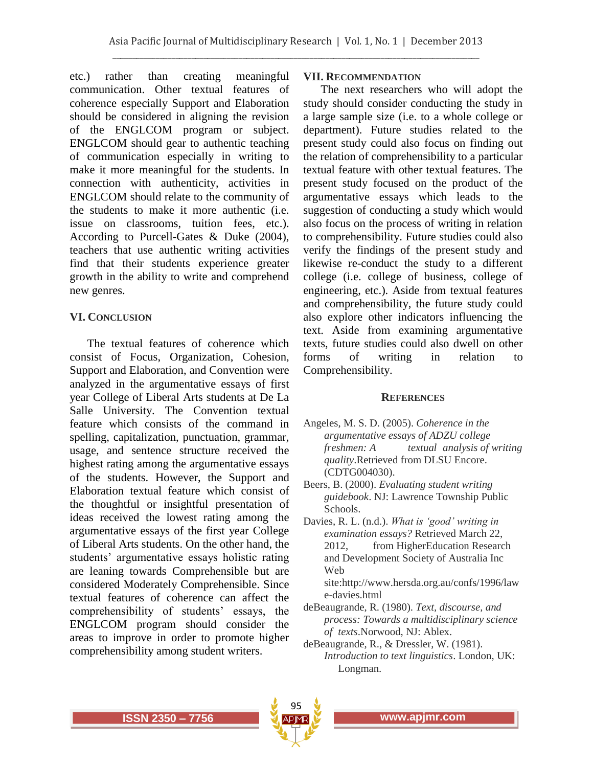etc.) rather than creating meaningful communication. Other textual features of coherence especially Support and Elaboration should be considered in aligning the revision of the ENGLCOM program or subject. ENGLCOM should gear to authentic teaching of communication especially in writing to make it more meaningful for the students. In connection with authenticity, activities in ENGLCOM should relate to the community of the students to make it more authentic (i.e. issue on classrooms, tuition fees, etc.). According to Purcell-Gates & Duke (2004), teachers that use authentic writing activities find that their students experience greater growth in the ability to write and comprehend new genres.

### **VI. CONCLUSION**

The textual features of coherence which consist of Focus, Organization, Cohesion, Support and Elaboration, and Convention were analyzed in the argumentative essays of first year College of Liberal Arts students at De La Salle University. The Convention textual feature which consists of the command in spelling, capitalization, punctuation, grammar, usage, and sentence structure received the highest rating among the argumentative essays of the students. However, the Support and Elaboration textual feature which consist of the thoughtful or insightful presentation of ideas received the lowest rating among the argumentative essays of the first year College of Liberal Arts students. On the other hand, the students' argumentative essays holistic rating are leaning towards Comprehensible but are considered Moderately Comprehensible. Since textual features of coherence can affect the comprehensibility of students' essays, the ENGLCOM program should consider the areas to improve in order to promote higher comprehensibility among student writers.

### **VII. RECOMMENDATION**

The next researchers who will adopt the study should consider conducting the study in a large sample size (i.e. to a whole college or department). Future studies related to the present study could also focus on finding out the relation of comprehensibility to a particular textual feature with other textual features. The present study focused on the product of the argumentative essays which leads to the suggestion of conducting a study which would also focus on the process of writing in relation to comprehensibility. Future studies could also verify the findings of the present study and likewise re-conduct the study to a different college (i.e. college of business, college of engineering, etc.). Aside from textual features and comprehensibility, the future study could also explore other indicators influencing the text. Aside from examining argumentative texts, future studies could also dwell on other forms of writing in relation to Comprehensibility.

#### **REFERENCES**

- Angeles, M. S. D. (2005). *Coherence in the argumentative essays of ADZU college freshmen: A textual analysis of writing quality*.Retrieved from DLSU Encore. (CDTG004030).
- Beers, B. (2000). *Evaluating student writing guidebook*. NJ: Lawrence Township Public Schools.
- Davies, R. L. (n.d.). *What is 'good' writing in examination essays?* Retrieved March 22, 2012, from HigherEducation Research and Development Society of Australia Inc Web

site:http://www.hersda.org.au/confs/1996/law e-davies.html

- deBeaugrande, R. (1980). *Text, discourse, and process: Towards a multidisciplinary science of texts*.Norwood, NJ: Ablex.
- deBeaugrande, R., & Dressler, W. (1981). *Introduction to text linguistics*. London, UK: Longman.